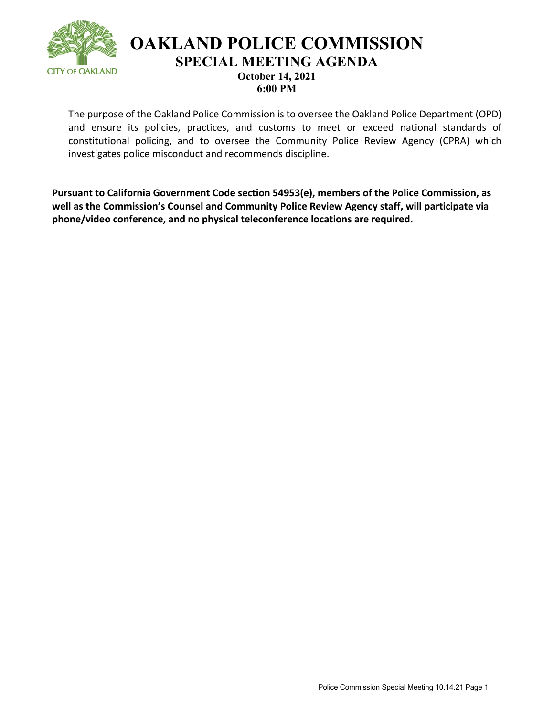

**OAKLAND POLICE COMMISSION SPECIAL MEETING AGENDA October 14, 2021** 

**6:00 PM**

The purpose of the Oakland Police Commission is to oversee the Oakland Police Department (OPD) and ensure its policies, practices, and customs to meet or exceed national standards of constitutional policing, and to oversee the Community Police Review Agency (CPRA) which investigates police misconduct and recommends discipline.

**Pursuant to California Government Code section 54953(e), members of the Police Commission, as well as the Commission's Counsel and Community Police Review Agency staff, will participate via phone/video conference, and no physical teleconference locations are required.**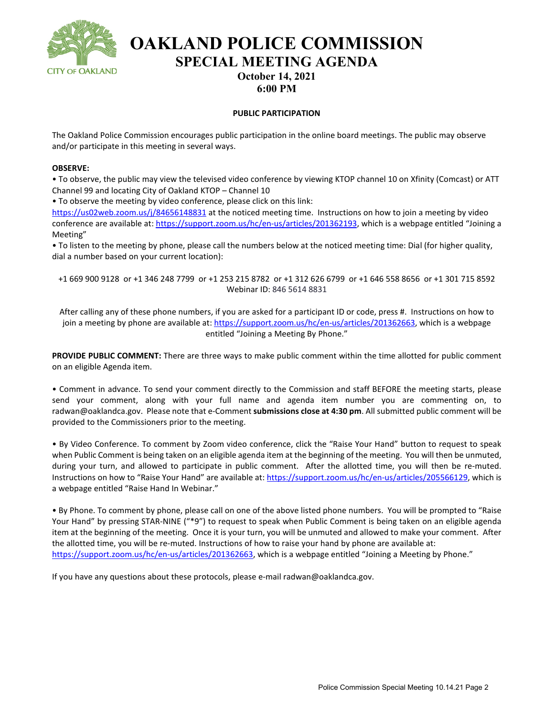

**OAKLAND POLICE COMMISSION SPECIAL MEETING AGENDA October 14, 2021** 

**6:00 PM**

### **PUBLIC PARTICIPATION**

The Oakland Police Commission encourages public participation in the online board meetings. The public may observe and/or participate in this meeting in several ways.

#### **OBSERVE:**

• To observe, the public may view the televised video conference by viewing KTOP channel 10 on Xfinity (Comcast) or ATT Channel 99 and locating City of Oakland KTOP – Channel 10

• To observe the meeting by video conference, please click on this link:

<https://us02web.zoom.us/j/84656148831> at the noticed meeting time. Instructions on how to join a meeting by video conference are available at[: https://support.zoom.us/hc/en-us/articles/201362193,](https://support.zoom.us/hc/en-us/articles/201362193) which is a webpage entitled "Joining a Meeting"

• To listen to the meeting by phone, please call the numbers below at the noticed meeting time: Dial (for higher quality, dial a number based on your current location):

+1 669 900 9128 or +1 346 248 7799 or +1 253 215 8782 or +1 312 626 6799 or +1 646 558 8656 or +1 301 715 8592 Webinar ID: 846 5614 8831

After calling any of these phone numbers, if you are asked for a participant ID or code, press #. Instructions on how to join a meeting by phone are available at[: https://support.zoom.us/hc/en-us/articles/201362663,](https://support.zoom.us/hc/en-us/articles/201362663) which is a webpage entitled "Joining a Meeting By Phone."

**PROVIDE PUBLIC COMMENT:** There are three ways to make public comment within the time allotted for public comment on an eligible Agenda item.

• Comment in advance. To send your comment directly to the Commission and staff BEFORE the meeting starts, please send your comment, along with your full name and agenda item number you are commenting on, to radwan@oaklandca.gov. Please note that e-Comment **submissions close at 4:30 pm**. All submitted public comment will be provided to the Commissioners prior to the meeting.

• By Video Conference. To comment by Zoom video conference, click the "Raise Your Hand" button to request to speak when Public Comment is being taken on an eligible agenda item at the beginning of the meeting. You will then be unmuted, during your turn, and allowed to participate in public comment. After the allotted time, you will then be re-muted. Instructions on how to "Raise Your Hand" are available at: [https://support.zoom.us/hc/en-us/articles/205566129,](https://support.zoom.us/hc/en-us/articles/205566129) which is a webpage entitled "Raise Hand In Webinar."

• By Phone. To comment by phone, please call on one of the above listed phone numbers. You will be prompted to "Raise Your Hand" by pressing STAR-NINE ("\*9") to request to speak when Public Comment is being taken on an eligible agenda item at the beginning of the meeting. Once it is your turn, you will be unmuted and allowed to make your comment. After the allotted time, you will be re-muted. Instructions of how to raise your hand by phone are available at: [https://support.zoom.us/hc/en-us/articles/201362663,](https://support.zoom.us/hc/en-us/articles/201362663) which is a webpage entitled "Joining a Meeting by Phone."

If you have any questions about these protocols, please e-mail radwan@oaklandca.gov.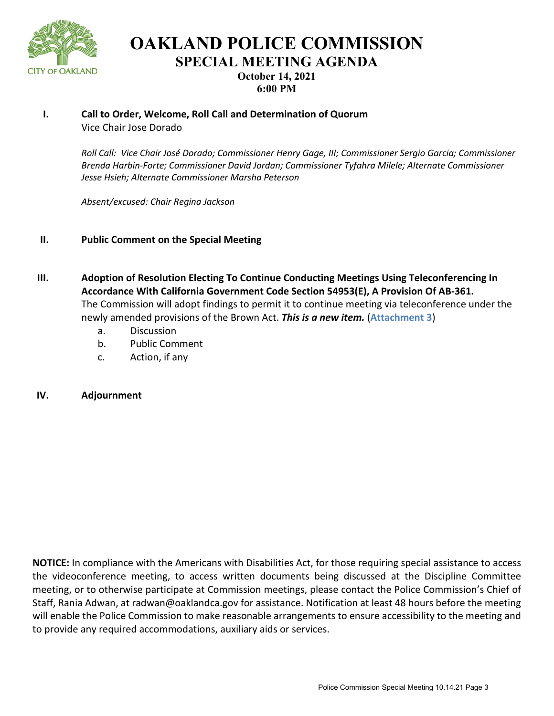

**OAKLAND POLICE COMMISSION SPECIAL MEETING AGENDA October 14, 2021 6:00 PM**

### **I. Call to Order, Welcome, Roll Call and Determination of Quorum** Vice Chair Jose Dorado

*Roll Call: Vice Chair José Dorado; Commissioner Henry Gage, III; Commissioner Sergio Garcia; Commissioner Brenda Harbin-Forte; Commissioner David Jordan; Commissioner Tyfahra Milele; Alternate Commissioner Jesse Hsieh; Alternate Commissioner Marsha Peterson*

*Absent/excused: Chair Regina Jackson*

- **II. Public Comment on the Special Meeting**
- **III. Adoption of Resolution Electing To Continue Conducting Meetings Using Teleconferencing In Accordance With California Government Code Section 54953(E), A Provision Of AB-361.** The Commission will adopt findings to permit it to continue meeting via teleconference under the newly amended provisions of the Brown Act. *This is a new item.* (**[Attachment 3](#page-3-0)**)
	- a. Discussion
	- b. Public Comment
	- c. Action, if any
- **IV. Adjournment**

**NOTICE:** In compliance with the Americans with Disabilities Act, for those requiring special assistance to access the videoconference meeting, to access written documents being discussed at the Discipline Committee meeting, or to otherwise participate at Commission meetings, please contact the Police Commission's Chief of Staff, Rania Adwan, at radwan@oaklandca.gov for assistance. Notification at least 48 hours before the meeting will enable the Police Commission to make reasonable arrangements to ensure accessibility to the meeting and to provide any required accommodations, auxiliary aids or services.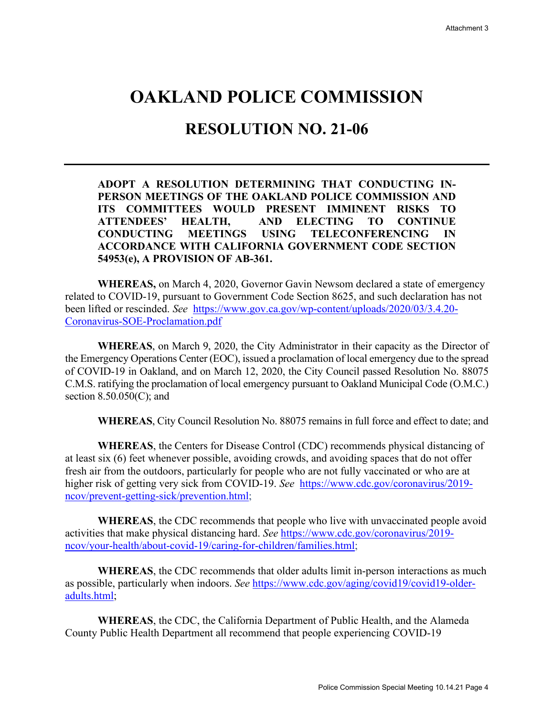# <span id="page-3-0"></span>**OAKLAND POLICE COMMISSION**

# **RESOLUTION NO. 21-06**

## **ADOPT A RESOLUTION DETERMINING THAT CONDUCTING IN-PERSON MEETINGS OF THE OAKLAND POLICE COMMISSION AND ITS COMMITTEES WOULD PRESENT IMMINENT RISKS TO ATTENDEES' HEALTH, AND ELECTING TO CONTINUE CONDUCTING MEETINGS USING TELECONFERENCING IN ACCORDANCE WITH CALIFORNIA GOVERNMENT CODE SECTION 54953(e), A PROVISION OF AB-361.**

**WHEREAS,** on March 4, 2020, Governor Gavin Newsom declared a state of emergency related to COVID-19, pursuant to Government Code Section 8625, and such declaration has not been lifted or rescinded. *See* [https://www.gov.ca.gov/wp-content/uploads/2020/03/3.4.20-](https://www.gov.ca.gov/wp-content/uploads/2020/03/3.4.20-Coronavirus-SOE-Proclamation.pdf) [Coronavirus-SOE-Proclamation.pdf](https://www.gov.ca.gov/wp-content/uploads/2020/03/3.4.20-Coronavirus-SOE-Proclamation.pdf) 

**WHEREAS**, on March 9, 2020, the City Administrator in their capacity as the Director of the Emergency Operations Center (EOC), issued a proclamation of local emergency due to the spread of COVID-19 in Oakland, and on March 12, 2020, the City Council passed Resolution No. 88075 C.M.S. ratifying the proclamation of local emergency pursuant to Oakland Municipal Code (O.M.C.) section 8.50.050(C); and

**WHEREAS**, City Council Resolution No. 88075 remains in full force and effect to date; and

**WHEREAS**, the Centers for Disease Control (CDC) recommends physical distancing of at least six (6) feet whenever possible, avoiding crowds, and avoiding spaces that do not offer fresh air from the outdoors, particularly for people who are not fully vaccinated or who are at higher risk of getting very sick from COVID-19. *See* [https://www.cdc.gov/coronavirus/2019](https://www.cdc.gov/coronavirus/2019-ncov/prevent-getting-sick/prevention.html) [ncov/prevent-getting-sick/prevention.html;](https://www.cdc.gov/coronavirus/2019-ncov/prevent-getting-sick/prevention.html)

**WHEREAS**, the CDC recommends that people who live with unvaccinated people avoid activities that make physical distancing hard. *See* [https://www.cdc.gov/coronavirus/2019](https://www.cdc.gov/coronavirus/2019-ncov/your-health/about-covid-19/caring-for-children/families.html) [ncov/your-health/about-covid-19/caring-for-children/families.html;](https://www.cdc.gov/coronavirus/2019-ncov/your-health/about-covid-19/caring-for-children/families.html)

**WHEREAS**, the CDC recommends that older adults limit in-person interactions as much as possible, particularly when indoors. *See* [https://www.cdc.gov/aging/covid19/covid19-older](https://www.cdc.gov/aging/covid19/covid19-older-adults.html)[adults.html;](https://www.cdc.gov/aging/covid19/covid19-older-adults.html)

**WHEREAS**, the CDC, the California Department of Public Health, and the Alameda County Public Health Department all recommend that people experiencing COVID-19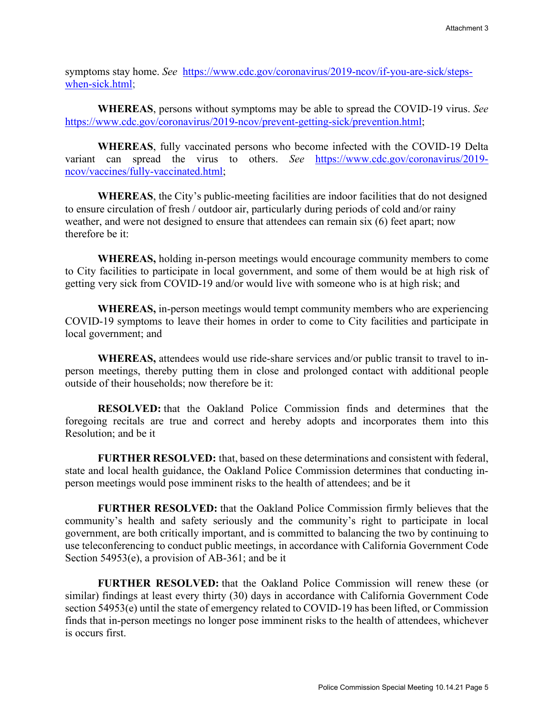symptoms stay home. *See* [https://www.cdc.gov/coronavirus/2019-ncov/if-you-are-sick/steps](https://www.cdc.gov/coronavirus/2019-ncov/if-you-are-sick/steps-when-sick.html)[when-sick.html;](https://www.cdc.gov/coronavirus/2019-ncov/if-you-are-sick/steps-when-sick.html)

**WHEREAS**, persons without symptoms may be able to spread the COVID-19 virus. *See*  [https://www.cdc.gov/coronavirus/2019-ncov/prevent-getting-sick/prevention.html;](https://www.cdc.gov/coronavirus/2019-ncov/prevent-getting-sick/prevention.html)

**WHEREAS**, fully vaccinated persons who become infected with the COVID-19 Delta variant can spread the virus to others. *See* [https://www.cdc.gov/coronavirus/2019](https://www.cdc.gov/coronavirus/2019-ncov/vaccines/fully-vaccinated.html) [ncov/vaccines/fully-vaccinated.html;](https://www.cdc.gov/coronavirus/2019-ncov/vaccines/fully-vaccinated.html)

**WHEREAS**, the City's public-meeting facilities are indoor facilities that do not designed to ensure circulation of fresh / outdoor air, particularly during periods of cold and/or rainy weather, and were not designed to ensure that attendees can remain six (6) feet apart; now therefore be it:

**WHEREAS,** holding in-person meetings would encourage community members to come to City facilities to participate in local government, and some of them would be at high risk of getting very sick from COVID-19 and/or would live with someone who is at high risk; and

**WHEREAS,** in-person meetings would tempt community members who are experiencing COVID-19 symptoms to leave their homes in order to come to City facilities and participate in local government; and

**WHEREAS,** attendees would use ride-share services and/or public transit to travel to inperson meetings, thereby putting them in close and prolonged contact with additional people outside of their households; now therefore be it:

**RESOLVED:** that the Oakland Police Commission finds and determines that the foregoing recitals are true and correct and hereby adopts and incorporates them into this Resolution; and be it

**FURTHER RESOLVED:** that, based on these determinations and consistent with federal, state and local health guidance, the Oakland Police Commission determines that conducting inperson meetings would pose imminent risks to the health of attendees; and be it

**FURTHER RESOLVED:** that the Oakland Police Commission firmly believes that the community's health and safety seriously and the community's right to participate in local government, are both critically important, and is committed to balancing the two by continuing to use teleconferencing to conduct public meetings, in accordance with California Government Code Section 54953(e), a provision of AB-361; and be it

**FURTHER RESOLVED:** that the Oakland Police Commission will renew these (or similar) findings at least every thirty (30) days in accordance with California Government Code section 54953(e) until the state of emergency related to COVID-19 has been lifted, or Commission finds that in-person meetings no longer pose imminent risks to the health of attendees, whichever is occurs first.